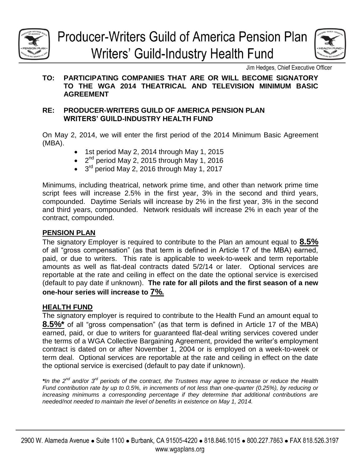

# **Producer-Writers Guild of America Pension Plan** Writers' Guild-Industry Health Fund



# **TO: PARTICIPATING COMPANIES THAT ARE OR WILL BECOME SIGNATORY TO THE WGA 2014 THEATRICAL AND TELEVISION MINIMUM BASIC AGREEMENT**

# **RE: PRODUCER-WRITERS GUILD OF AMERICA PENSION PLAN WRITERS' GUILD-INDUSTRY HEALTH FUND**

On May 2, 2014, we will enter the first period of the 2014 Minimum Basic Agreement (MBA).

- 1st period May 2, 2014 through May 1, 2015
- $\bullet$   $2^{nd}$  period May 2, 2015 through May 1, 2016
- <sup>3rd</sup> period May 2, 2016 through May 1, 2017

Minimums, including theatrical, network prime time, and other than network prime time script fees will increase 2.5% in the first year, 3% in the second and third years, compounded. Daytime Serials will increase by 2% in the first year, 3% in the second and third years, compounded. Network residuals will increase 2% in each year of the contract, compounded.

# **PENSION PLAN**

The signatory Employer is required to contribute to the Plan an amount equal to **8.5%** of all "gross compensation" (as that term is defined in Article 17 of the MBA) earned, paid, or due to writers. This rate is applicable to week-to-week and term reportable amounts as well as flat-deal contracts dated 5/2/14 or later. Optional services are reportable at the rate and ceiling in effect on the date the optional service is exercised (default to pay date if unknown). **The rate for all pilots and the first season of a new one-hour series will increase to 7%.** 

# **HEALTH FUND**

The signatory employer is required to contribute to the Health Fund an amount equal to **8.5%\*** of all "gross compensation" (as that term is defined in Article 17 of the MBA) earned, paid, or due to writers for guaranteed flat-deal writing services covered under the terms of a WGA Collective Bargaining Agreement, provided the writer's employment contract is dated on or after November 1, 2004 or is employed on a week-to-week or term deal. Optional services are reportable at the rate and ceiling in effect on the date the optional service is exercised (default to pay date if unknown).

*\*In the 2nd and/or 3rd periods of the contract, the Trustees may agree to increase or reduce the Health Fund contribution rate by up to 0.5%, in increments of not less than one-quarter (0.25%), by reducing or increasing minimums a corresponding percentage if they determine that additional contributions are needed/not needed to maintain the level of benefits in existence on May 1, 2014.*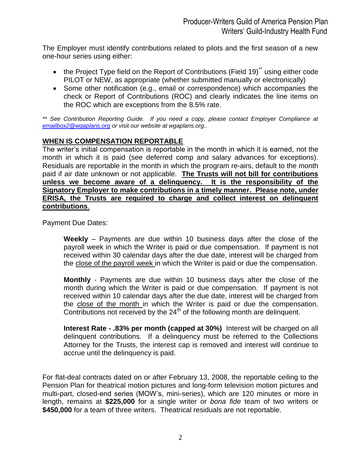The Employer must identify contributions related to pilots and the first season of a new one-hour series using either:

- the Project Type field on the Report of Contributions (Field 19)<sup>\*\*</sup> using either code PILOT or NEW, as appropriate (whether submitted manually or electronically)
- Some other notification (e.g., email or correspondence) which accompanies the check or Report of Contributions (ROC) and clearly indicates the line items on the ROC which are exceptions from the 8.5% rate.

*\*\* See Contribution Reporting Guide. If you need a copy, please contact Employer Compliance at [emailbox2@wgaplans.org](mailto:emailbox2@wgaplans.org) or visit our website at wgaplans.org..*

# **WHEN IS COMPENSATION REPORTABLE**

The writer's initial compensation is reportable in the month in which it is earned, not the month in which it is paid (see deferred comp and salary advances for exceptions). Residuals are reportable in the month in which the program re-airs, default to the month paid if air date unknown or not applicable. **The Trusts will not bill for contributions unless we become aware of a delinquency. It is the responsibility of the Signatory Employer to make contributions in a timely manner. Please note, under ERISA, the Trusts are required to charge and collect interest on delinquent contributions**.

Payment Due Dates:

**Weekly** – Payments are due within 10 business days after the close of the payroll week in which the Writer is paid or due compensation. If payment is not received within 30 calendar days after the due date, interest will be charged from the close of the payroll week in which the Writer is paid or due the compensation.

**Monthly** - Payments are due within 10 business days after the close of the month during which the Writer is paid or due compensation. If payment is not received within 10 calendar days after the due date, interest will be charged from the close of the month in which the Writer is paid or due the compensation. Contributions not received by the  $24<sup>th</sup>$  of the following month are delinguent.

**Interest Rate - .83% per month (capped at 30%)** Interest will be charged on all delinquent contributions. If a delinquency must be referred to the Collections Attorney for the Trusts, the interest cap is removed and interest will continue to accrue until the delinquency is paid.

For flat-deal contracts dated on or after February 13, 2008, the reportable ceiling to the Pension Plan for theatrical motion pictures and long-form television motion pictures and multi-part, closed-end series (MOW's, mini-series), which are 120 minutes or more in length, remains at **\$225,000** for a single writer or *bona fide* team of two writers or **\$450,000** for a team of three writers. Theatrical residuals are not reportable.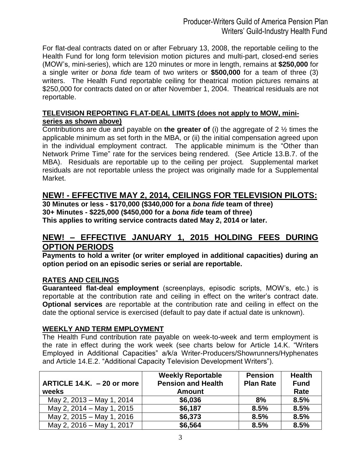For flat-deal contracts dated on or after February 13, 2008, the reportable ceiling to the Health Fund for long form television motion pictures and multi-part, closed-end series (MOW's, mini-series), which are 120 minutes or more in length, remains at **\$250,000** for a single writer or *bona fide* team of two writers or **\$500,000** for a team of three (3) writers. The Health Fund reportable ceiling for theatrical motion pictures remains at \$250,000 for contracts dated on or after November 1, 2004. Theatrical residuals are not reportable.

# **TELEVISION REPORTING FLAT-DEAL LIMITS (does not apply to MOW, miniseries as shown above)**

Contributions are due and payable on **the greater of** (i) the aggregate of 2 ½ times the applicable minimum as set forth in the MBA, or (ii) the initial compensation agreed upon in the individual employment contract. The applicable minimum is the "Other than Network Prime Time" rate for the services being rendered. (See Article 13.B.7. of the MBA). Residuals are reportable up to the ceiling per project. Supplemental market residuals are not reportable unless the project was originally made for a Supplemental Market.

# **NEW! - EFFECTIVE MAY 2, 2014, CEILINGS FOR TELEVISION PILOTS:**

**30 Minutes or less - \$170,000 (\$340,000 for a** *bona fide* **team of three) 30+ Minutes - \$225,000 (\$450,000 for a** *bona fide* **team of three) This applies to writing service contracts dated May 2, 2014 or later.**

# **NEW! – EFFECTIVE JANUARY 1, 2015 HOLDING FEES DURING OPTION PERIODS**

**Payments to hold a writer (or writer employed in additional capacities) during an option period on an episodic series or serial are reportable.**

# **RATES AND CEILINGS**

**Guaranteed flat-deal employment** (screenplays, episodic scripts, MOW's, etc.) is reportable at the contribution rate and ceiling in effect on the writer's contract date. **Optional services** are reportable at the contribution rate and ceiling in effect on the date the optional service is exercised (default to pay date if actual date is unknown).

## **WEEKLY AND TERM EMPLOYMENT**

The Health Fund contribution rate payable on week-to-week and term employment is the rate in effect during the work week (see charts below for Article 14.K. "Writers Employed in Additional Capacities" a/k/a Writer-Producers/Showrunners/Hyphenates and Article 14.E.2. "Additional Capacity Television Development Writers").

| ARTICLE 14.K. - 20 or more<br>weeks | <b>Weekly Reportable</b><br><b>Pension and Health</b><br><b>Amount</b> | <b>Pension</b><br><b>Plan Rate</b> | <b>Health</b><br><b>Fund</b><br>Rate |
|-------------------------------------|------------------------------------------------------------------------|------------------------------------|--------------------------------------|
| May 2, 2013 – May 1, 2014           | \$6,036                                                                | 8%                                 | 8.5%                                 |
| May 2, 2014 – May 1, 2015           | \$6,187                                                                | 8.5%                               | 8.5%                                 |
| May 2, 2015 – May 1, 2016           | \$6,373                                                                | 8.5%                               | 8.5%                                 |
| May 2, 2016 - May 1, 2017           | \$6,564                                                                | 8.5%                               | 8.5%                                 |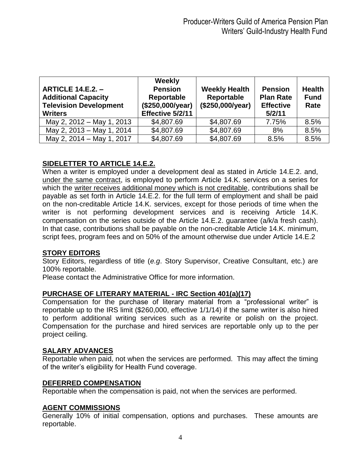| <b>ARTICLE 14.E.2. -</b><br><b>Additional Capacity</b><br><b>Television Development</b><br><b>Writers</b> | Weekly<br><b>Pension</b><br>Reportable<br>(\$250,000/year)<br>Effective 5/2/11 | <b>Weekly Health</b><br>Reportable<br>(\$250,000/year) | <b>Pension</b><br><b>Plan Rate</b><br><b>Effective</b><br>5/2/11 | <b>Health</b><br><b>Fund</b><br>Rate |
|-----------------------------------------------------------------------------------------------------------|--------------------------------------------------------------------------------|--------------------------------------------------------|------------------------------------------------------------------|--------------------------------------|
| May 2, 2012 - May 1, 2013                                                                                 | \$4,807.69                                                                     | \$4,807.69                                             | 7.75%                                                            | 8.5%                                 |
| May 2, 2013 - May 1, 2014                                                                                 | \$4,807.69                                                                     | \$4,807.69                                             | 8%                                                               | 8.5%                                 |
| May 2, 2014 - May 1, 2017                                                                                 | \$4,807.69                                                                     | \$4,807.69                                             | 8.5%                                                             | 8.5%                                 |

# **SIDELETTER TO ARTICLE 14.E.2.**

When a writer is employed under a development deal as stated in Article 14.E.2. and, under the same contract, is employed to perform Article 14.K. services on a series for which the writer receives additional money which is not creditable, contributions shall be payable as set forth in Article 14.E.2. for the full term of employment and shall be paid on the non-creditable Article 14.K. services, except for those periods of time when the writer is not performing development services and is receiving Article 14.K. compensation on the series outside of the Article 14.E.2. guarantee (a/k/a fresh cash). In that case, contributions shall be payable on the non-creditable Article 14.K. minimum, script fees, program fees and on 50% of the amount otherwise due under Article 14.E.2

## **STORY EDITORS**

Story Editors, regardless of title (*e.g*. Story Supervisor, Creative Consultant, etc.) are 100% reportable.

Please contact the Administrative Office for more information.

# **PURCHASE OF LITERARY MATERIAL - IRC Section 401(a)(17)**

Compensation for the purchase of literary material from a "professional writer" is reportable up to the IRS limit (\$260,000, effective 1/1/14) if the same writer is also hired to perform additional writing services such as a rewrite or polish on the project. Compensation for the purchase and hired services are reportable only up to the per project ceiling.

# **SALARY ADVANCES**

Reportable when paid, not when the services are performed. This may affect the timing of the writer's eligibility for Health Fund coverage.

## **DEFERRED COMPENSATION**

Reportable when the compensation is paid, not when the services are performed.

## **AGENT COMMISSIONS**

Generally 10% of initial compensation, options and purchases. These amounts are reportable.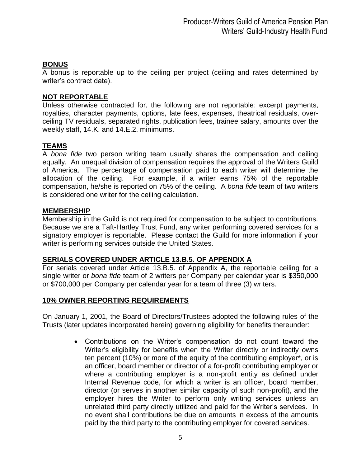# **BONUS**

A bonus is reportable up to the ceiling per project (ceiling and rates determined by writer's contract date).

#### **NOT REPORTABLE**

Unless otherwise contracted for, the following are not reportable: excerpt payments, royalties, character payments, options, late fees, expenses, theatrical residuals, overceiling TV residuals, separated rights, publication fees, trainee salary, amounts over the weekly staff, 14.K. and 14.E.2. minimums.

## **TEAMS**

A *bona fide* two person writing team usually shares the compensation and ceiling equally. An unequal division of compensation requires the approval of the Writers Guild of America. The percentage of compensation paid to each writer will determine the allocation of the ceiling. For example, if a writer earns 75% of the reportable compensation, he/she is reported on 75% of the ceiling. A *bona fide* team of two writers is considered one writer for the ceiling calculation.

#### **MEMBERSHIP**

Membership in the Guild is not required for compensation to be subject to contributions. Because we are a Taft-Hartley Trust Fund, any writer performing covered services for a signatory employer is reportable. Please contact the Guild for more information if your writer is performing services outside the United States.

## **SERIALS COVERED UNDER ARTICLE 13.B.5. OF APPENDIX A**

For serials covered under Article 13.B.5. of Appendix A, the reportable ceiling for a single writer or *bona fide* team of 2 writers per Company per calendar year is \$350,000 or \$700,000 per Company per calendar year for a team of three (3) writers.

## **10% OWNER REPORTING REQUIREMENTS**

On January 1, 2001, the Board of Directors/Trustees adopted the following rules of the Trusts (later updates incorporated herein) governing eligibility for benefits thereunder:

> Contributions on the Writer's compensation do not count toward the Writer's eligibility for benefits when the Writer directly or indirectly owns ten percent (10%) or more of the equity of the contributing employer\*, or is an officer, board member or director of a for-profit contributing employer or where a contributing employer is a non-profit entity as defined under Internal Revenue code, for which a writer is an officer, board member, director (or serves in another similar capacity of such non-profit), and the employer hires the Writer to perform only writing services unless an unrelated third party directly utilized and paid for the Writer's services. In no event shall contributions be due on amounts in excess of the amounts paid by the third party to the contributing employer for covered services.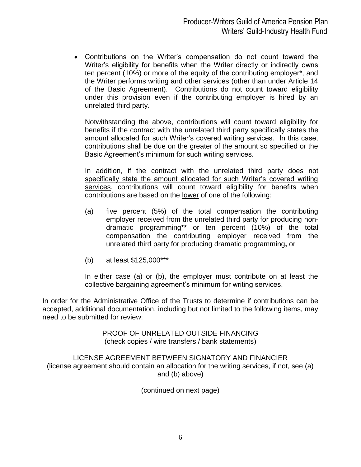Contributions on the Writer's compensation do not count toward the Writer's eligibility for benefits when the Writer directly or indirectly owns ten percent (10%) or more of the equity of the contributing employer\*, and the Writer performs writing and other services (other than under Article 14 of the Basic Agreement). Contributions do not count toward eligibility under this provision even if the contributing employer is hired by an unrelated third party.

Notwithstanding the above, contributions will count toward eligibility for benefits if the contract with the unrelated third party specifically states the amount allocated for such Writer's covered writing services. In this case, contributions shall be due on the greater of the amount so specified or the Basic Agreement's minimum for such writing services.

In addition, if the contract with the unrelated third party does not specifically state the amount allocated for such Writer's covered writing services, contributions will count toward eligibility for benefits when contributions are based on the lower of one of the following:

- (a) five percent (5%) of the total compensation the contributing employer received from the unrelated third party for producing nondramatic programming**\*\*** or ten percent (10%) of the total compensation the contributing employer received from the unrelated third party for producing dramatic programming**,** or
- (b) at least \$125,000\*\*\*

In either case (a) or (b), the employer must contribute on at least the collective bargaining agreement's minimum for writing services.

In order for the Administrative Office of the Trusts to determine if contributions can be accepted, additional documentation, including but not limited to the following items, may need to be submitted for review:

> PROOF OF UNRELATED OUTSIDE FINANCING (check copies / wire transfers / bank statements)

LICENSE AGREEMENT BETWEEN SIGNATORY AND FINANCIER (license agreement should contain an allocation for the writing services, if not, see (a) and (b) above)

(continued on next page)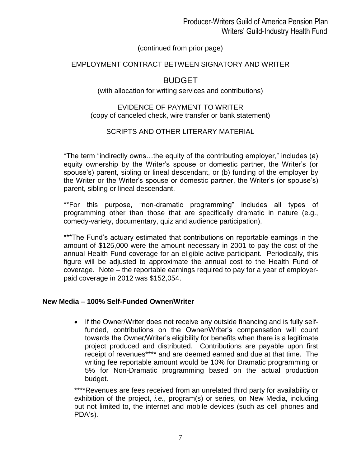# (continued from prior page)

# EMPLOYMENT CONTRACT BETWEEN SIGNATORY AND WRITER

# BUDGET

## (with allocation for writing services and contributions)

## EVIDENCE OF PAYMENT TO WRITER (copy of canceled check, wire transfer or bank statement)

# SCRIPTS AND OTHER LITERARY MATERIAL

\*The term "indirectly owns…the equity of the contributing employer," includes (a) equity ownership by the Writer's spouse or domestic partner, the Writer's (or spouse's) parent, sibling or lineal descendant, or (b) funding of the employer by the Writer or the Writer's spouse or domestic partner, the Writer's (or spouse's) parent, sibling or lineal descendant.

\*\*For this purpose, "non-dramatic programming" includes all types of programming other than those that are specifically dramatic in nature (e.g., comedy-variety, documentary, quiz and audience participation).

\*\*\*The Fund's actuary estimated that contributions on reportable earnings in the amount of \$125,000 were the amount necessary in 2001 to pay the cost of the annual Health Fund coverage for an eligible active participant. Periodically, this figure will be adjusted to approximate the annual cost to the Health Fund of coverage. Note – the reportable earnings required to pay for a year of employerpaid coverage in 2012 was \$152,054.

## **New Media – 100% Self-Funded Owner/Writer**

• If the Owner/Writer does not receive any outside financing and is fully selffunded, contributions on the Owner/Writer's compensation will count towards the Owner/Writer's eligibility for benefits when there is a legitimate project produced and distributed. Contributions are payable upon first receipt of revenues\*\*\*\* and are deemed earned and due at that time. The writing fee reportable amount would be 10% for Dramatic programming or 5% for Non-Dramatic programming based on the actual production budget.

\*\*\*\*Revenues are fees received from an unrelated third party for availability or exhibition of the project, *i.e.*, program(s) or series, on New Media, including but not limited to, the internet and mobile devices (such as cell phones and PDA's).